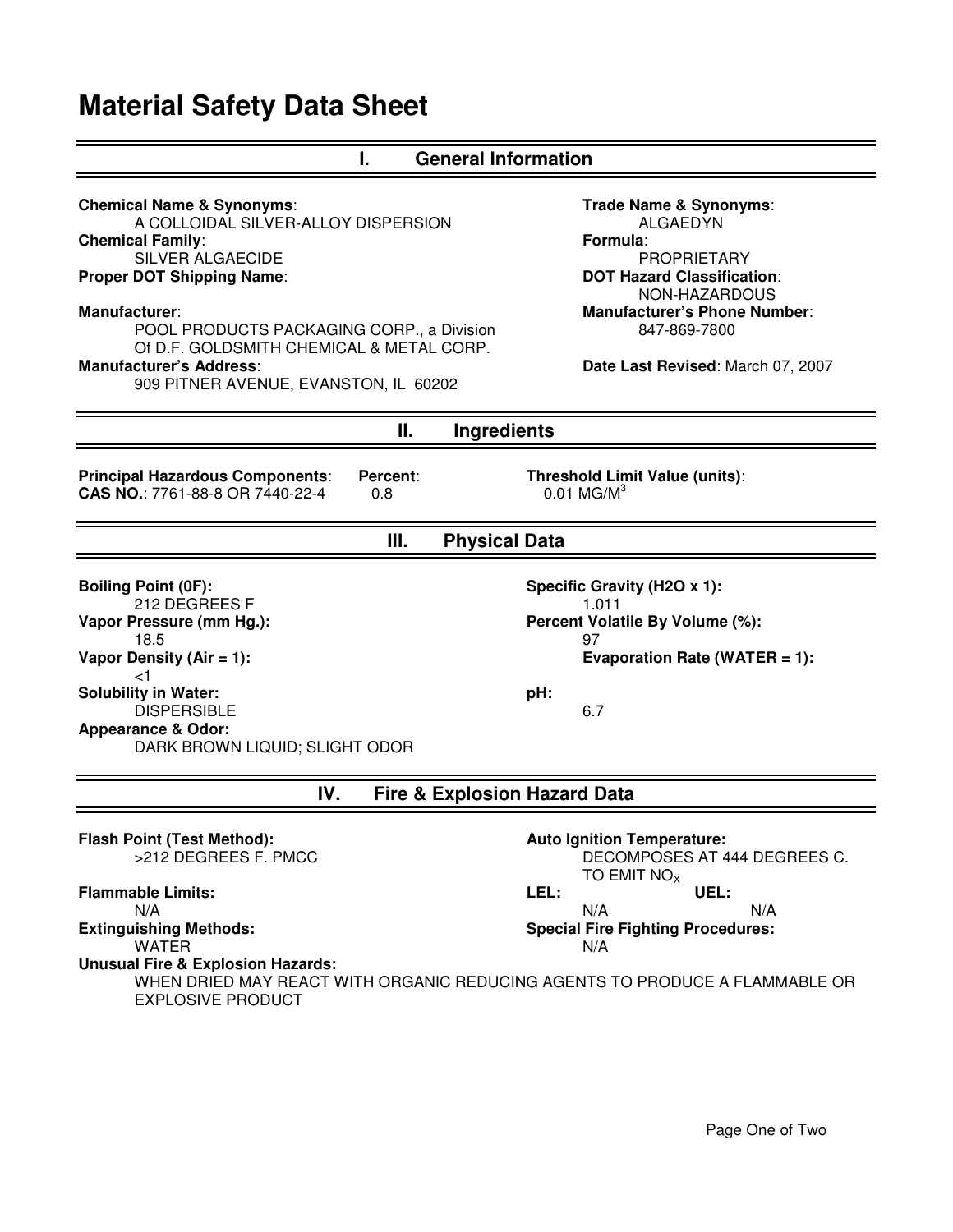## **Material Safety Data Sheet**

| <b>General Information</b><br>ı.                                                                                                                                                                                                                                                                                                                                  |                                                                                                                                                                                                                               |  |
|-------------------------------------------------------------------------------------------------------------------------------------------------------------------------------------------------------------------------------------------------------------------------------------------------------------------------------------------------------------------|-------------------------------------------------------------------------------------------------------------------------------------------------------------------------------------------------------------------------------|--|
| <b>Chemical Name &amp; Synonyms:</b><br>A COLLOIDAL SILVER-ALLOY DISPERSION<br><b>Chemical Family:</b><br><b>SILVER ALGAECIDE</b><br><b>Proper DOT Shipping Name:</b><br><b>Manufacturer:</b><br>POOL PRODUCTS PACKAGING CORP., a Division<br>Of D.F. GOLDSMITH CHEMICAL & METAL CORP.<br><b>Manufacturer's Address:</b><br>909 PITNER AVENUE, EVANSTON, IL 60202 | Trade Name & Synonyms:<br><b>ALGAEDYN</b><br>Formula:<br><b>PROPRIETARY</b><br><b>DOT Hazard Classification:</b><br>NON-HAZARDOUS<br><b>Manufacturer's Phone Number:</b><br>847-869-7800<br>Date Last Revised: March 07, 2007 |  |
| П.<br><b>Ingredients</b>                                                                                                                                                                                                                                                                                                                                          |                                                                                                                                                                                                                               |  |
| <b>Principal Hazardous Components:</b><br>Percent:<br>CAS NO.: 7761-88-8 OR 7440-22-4<br>0.8                                                                                                                                                                                                                                                                      | <b>Threshold Limit Value (units):</b><br>$0.01$ MG/M <sup>3</sup>                                                                                                                                                             |  |
| Ш.<br><b>Physical Data</b>                                                                                                                                                                                                                                                                                                                                        |                                                                                                                                                                                                                               |  |
| <b>Boiling Point (0F):</b><br>212 DEGREES F<br>Vapor Pressure (mm Hg.):<br>18.5<br>Vapor Density (Air = $1$ ):<br><1<br><b>Solubility in Water:</b><br><b>DISPERSIBLE</b><br><b>Appearance &amp; Odor:</b><br>DARK BROWN LIQUID; SLIGHT ODOR                                                                                                                      | Specific Gravity (H2O x 1):<br>1.011<br>Percent Volatile By Volume (%):<br>97<br>Evaporation Rate (WATER = 1):<br>pH:<br>6.7                                                                                                  |  |
| IV.<br><b>Fire &amp; Explosion Hazard Data</b>                                                                                                                                                                                                                                                                                                                    |                                                                                                                                                                                                                               |  |
| <b>Flash Point (Test Method):</b><br>>212 DEGREES F. PMCC                                                                                                                                                                                                                                                                                                         | <b>Auto Ignition Temperature:</b><br>DECOMPOSES AT 444 DEGREES C.<br>TO EMIT $NOx$                                                                                                                                            |  |
| <b>Flammable Limits:</b><br>N/A<br><b>Extinguishing Methods:</b><br><b>WATER</b><br><b>Unusual Fire &amp; Explosion Hazards:</b><br>WHEN DRIED MAY REACT WITH ORGANIC REDUCING AGENTS TO PRODUCE A FLAMMABLE OR<br><b>EXPLOSIVE PRODUCT</b>                                                                                                                       | LEL:<br>UEL:<br>N/A<br>N/A<br><b>Special Fire Fighting Procedures:</b><br>N/A                                                                                                                                                 |  |